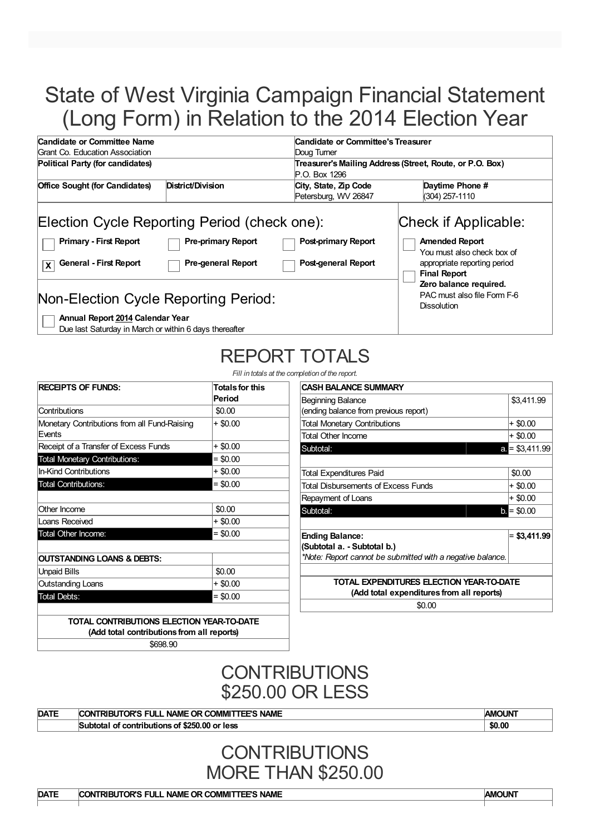# State of West Virginia Campaign Financial Statement (Long Form) in Relation to the 2014 Election Year

| Candidate or Committee Name                                                   |                           |                                               | Candidate or Committee's Treasurer<br>Doug Turner<br>Treasurer's Mailing Address (Street, Route, or P.O. Box)<br>P.O. Box 1296 |  |  |  |
|-------------------------------------------------------------------------------|---------------------------|-----------------------------------------------|--------------------------------------------------------------------------------------------------------------------------------|--|--|--|
| Grant Co. Education Association                                               |                           |                                               |                                                                                                                                |  |  |  |
| Political Party (for candidates)                                              |                           |                                               |                                                                                                                                |  |  |  |
| <b>Office Sought (for Candidates)</b>                                         | District/Division         | City, State, Zip Code<br>Petersburg, WV 26847 | Daytime Phone #<br>$(304)$ 257-1110                                                                                            |  |  |  |
| Election Cycle Reporting Period (check one):<br><b>Primary - First Report</b> | <b>Pre-primary Report</b> | <b>Post-primary Report</b>                    | Check if Applicable:<br><b>Amended Report</b>                                                                                  |  |  |  |
| <b>General - First Report</b><br>$\mathbf x$                                  | <b>Pre-general Report</b> | Post-general Report                           | You must also check box of<br>appropriate reporting period<br><b>Final Report</b>                                              |  |  |  |
| Non-Election Cycle Reporting Period:<br>Annual Report 2014 Calendar Year      |                           |                                               | Zero balance required.<br>PAC must also file Form F-6<br><b>Dissolution</b>                                                    |  |  |  |

Due last Saturday in March or within 6 days thereafter

# REPORT TOTALS

*Fill in totals at the completion of the reports* 

| <b>RECEIPTS OF FUNDS:</b>                              | <b>Totals for this</b><br>Period |  |
|--------------------------------------------------------|----------------------------------|--|
| Contributions                                          | \$0.00                           |  |
| Monetary Contributions from all Fund-Raising<br>Events | + \$0.00                         |  |
| Receipt of a Transfer of Excess Funds                  | + \$0.00                         |  |
| <b>Total Monetary Contributions:</b>                   | $= $0.00$                        |  |
| In-Kind Contributions                                  | + \$0.00                         |  |
| <b>Total Contributions:</b>                            | $= $0.00$                        |  |
| Other Income                                           | \$0.00                           |  |
| Loans Received                                         | + \$0.00                         |  |
| Total Other Income:                                    | $= $0.00$                        |  |
| OUTSTANDING LOANS & DEBTS:                             |                                  |  |
| <b>Unpaid Bills</b>                                    | \$0.00                           |  |
| <b>Outstanding Loans</b>                               | + \$0.00                         |  |
| <b>Total Debts:</b>                                    | $= $0.00$                        |  |

| detion of the report.                                      |                 |
|------------------------------------------------------------|-----------------|
| <b>CASH BALANCE SUMMARY</b>                                |                 |
| Beginning Balance                                          | \$3,411.99      |
| (ending balance from previous report)                      |                 |
| <b>Total Monetary Contributions</b>                        | + \$0.00        |
| <b>Total Other Income</b>                                  | $+$ \$0.00      |
| Subtotal:                                                  | $a = $3,411.99$ |
|                                                            |                 |
| <b>Total Expenditures Paid</b>                             | \$0.00          |
| Total Disbursements of Excess Funds                        | + \$0.00        |
| Repayment of Loans                                         | + \$0.00        |
| Subtotal:                                                  | $b = $0.00$     |
|                                                            |                 |
| <b>Ending Balance:</b>                                     | $= $3,411.99$   |
| (Subtotal a. - Subtotal b.)                                |                 |
| *Note: Report cannot be submitted with a negative balance. |                 |
|                                                            |                 |
| TOTAL EXPENDITURES ELECTION YEAR-TO-DATE                   |                 |
| (Add total expenditures from all reports)                  |                 |
| \$0.00                                                     |                 |

**TOTAL CONTRIBUTIONS ELECTION YEAR-TO-DATE (Add total contributions from all reports)**

\$698.90

### **CONTRIBUTIONS** \$250.00 OR LESS

| <b>DATE</b> | <b>COMMIT</b><br>TEE'S NAME<br>NAME OR C<br><b>RIBUTOR'S</b><br><b>CON</b><br>51 JE | <b>AMOUN</b> |
|-------------|-------------------------------------------------------------------------------------|--------------|
|             | f contributions of \$250.00 or less<br>Subtotal of                                  | \$0.00       |

### **CONTRIBUTIONS** MORE THAN \$250.00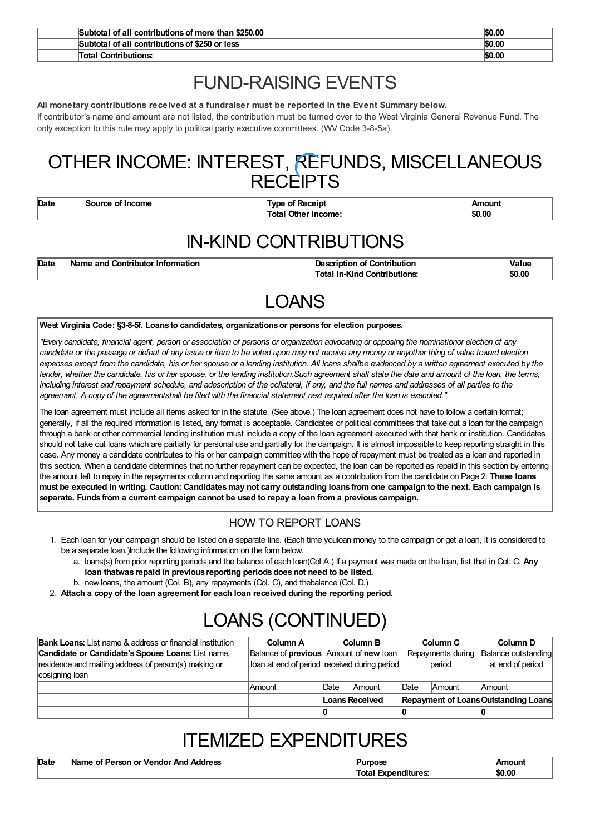| <b>Contributions:</b><br>Total                      | \$0.00 |
|-----------------------------------------------------|--------|
| Subtotal of all contributions of \$250 or less      | \$0.00 |
| Subtotal of all contributions of more than \$250,00 | \$0.00 |

## FUND-RAISING EVENTS

#### **All monetary contributions received at a fundraiser must be reported in the Event Summary below.**

If contributor's name and amount are not listed, the contribution must be turned over to the West Virginia General Revenue Fund. The only exception to this rule may apply to political party executive committees. (WV Code 3-8-5a).

### OTHER INCOME: INTEREST, REFUNDS, MISCELLANEOUS **RECEIPTS**

**Date Source of Income Type of Receipt Amount Total Other Income: \$0.00**

## IN-KIND CONTRIBUTIONS

| Date | Name and Contributor Information |
|------|----------------------------------|
|      |                                  |

**Description of Contribution Integral 2016 Value Total In-Kind Contributions: \$0.00**

## LOANS

#### **West Virginia Code: §3-8-5f. Loans to candidates, organizationsor persons for election purposes.**

"Every candidate, financial agent, person or association of persons or organization advocating or opposing the nominationor election of any candidate or the passage or defeat of any issue or item to be voted upon may not receive any money or anyother thing of value toward election expenses except from the candidate, his or her spouse or a lending institution. All loans shallbe evidenced by a written agreement executed by the lender, whether the candidate, his or her spouse, or the lending institution. Such agreement shall state the date and amount of the loan, the terms, including interest and repayment schedule, and adescription of the collateral, if any, and the full names and addresses of all parties to the agreement. A copy of the agreementshall be filed with the financial statement next required after the loan is executed."

The loan agreement must include all items asked for in the statute. (See above.) The loan agreement does not have to follow a certain format; generally, if all the required information is listed, any format is acceptable. Candidates or political committees that take out a loan for the campaign through a bank or other commercial lending institution must include a copy of the loan agreement executed with that bank or institution. Candidates should not take out loans which are partially for personal use and partially for the campaign. It is almost impossible to keep reporting straight in this case. Any money a candidate contributes to his or her campaign committee with the hope of repayment must be treated as a loan and reported in this section. When a candidate determines that no further repayment can be expected, the loan can be reported as repaid in this section by entering the amount left to repay in the repayments column and reporting the same amount as a contribution from the candidate on Page 2. **These loans** must be executed in writing. Caution: Candidates may not carry outstanding loans from one campaign to the next. Each campaign is **separate. Funds from a current campaign cannot be used to repay a loan from a previous campaign.**

#### HOW TO REPORT LOANS

- 1. Each loan for your campaign should be listed on a separate line. (Each time youloan money to the campaign or get a loan, it is considered to be a separate loan.)Include the following information on the form below.
	- a. loans(s) from prior reporting periods and the balance of each loan(Col A.) If a payment was made on the loan, list that in Col. C. **Any loan thatwas repaid in previous reporting periodsdoesnot need to be listed.**
	- b. new loans, the amount (Col. B), any repayments (Col. C), and thebalance (Col. D.)
- 2. **Attach a copy of the loan agreement for each loan received during the reporting period.**

# LOANS (CONTINUED)

| <b>Bank Loans:</b> List name & address or financial institution | Column A                                      |                | Column B      |             | Column C          | Column D                             |
|-----------------------------------------------------------------|-----------------------------------------------|----------------|---------------|-------------|-------------------|--------------------------------------|
| Candidate or Candidate's Spouse Loans: List name,               | Balance of <b>previous</b> Amount of new loan |                |               |             | Repayments during | Balance outstanding                  |
| residence and mailing address of person(s) making or            | loan at end of period received during period  |                |               |             | period            | at end of period                     |
| cosigning loan                                                  |                                               |                |               |             |                   |                                      |
|                                                                 | Amount                                        | Date           | <b>Amount</b> | <b>Date</b> | Amount            | Amount                               |
|                                                                 |                                               | Loans Received |               |             |                   | Repayment of Loans Outstanding Loans |
|                                                                 |                                               |                |               |             |                   |                                      |

## ITEMIZED EXPENDITURES

| Date | Name of Person or Vendor And Address | Purpose             | Amount |
|------|--------------------------------------|---------------------|--------|
|      |                                      | Total Expenditures: | \$0.00 |